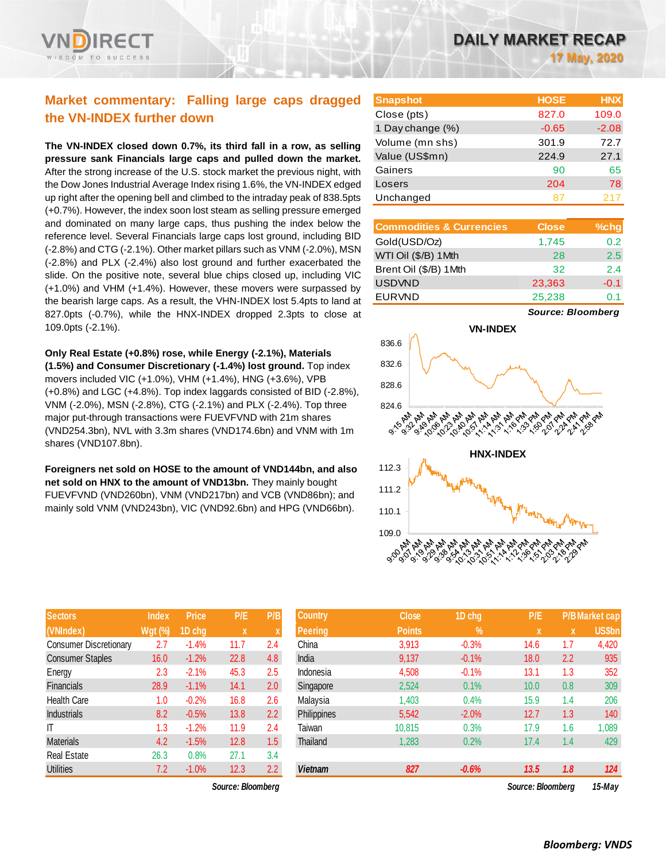## **Market commentary: Falling large caps dragged the VN-INDEX further down**

**The VN-INDEX closed down 0.7%, its third fall in a row, as selling pressure sank Financials large caps and pulled down the market.**  After the strong increase of the U.S. stock market the previous night, with the Dow Jones Industrial Average Index rising 1.6%, the VN-INDEX edged up right after the opening bell and climbed to the intraday peak of 838.5pts (+0.7%). However, the index soon lost steam as selling pressure emerged and dominated on many large caps, thus pushing the index below the reference level. Several Financials large caps lost ground, including BID (-2.8%) and CTG (-2.1%). Other market pillars such as VNM (-2.0%), MSN (-2.8%) and PLX (-2.4%) also lost ground and further exacerbated the slide. On the positive note, several blue chips closed up, including VIC (+1.0%) and VHM (+1.4%). However, these movers were surpassed by the bearish large caps. As a result, the VHN-INDEX lost 5.4pts to land at 827.0pts (-0.7%), while the HNX-INDEX dropped 2.3pts to close at 109.0pts (-2.1%).

**Only Real Estate (+0.8%) rose, while Energy (-2.1%), Materials (1.5%) and Consumer Discretionary (-1.4%) lost ground.** Top index movers included VIC (+1.0%), VHM (+1.4%), HNG (+3.6%), VPB (+0.8%) and LGC (+4.8%). Top index laggards consisted of BID (-2.8%), VNM (-2.0%), MSN (-2.8%), CTG (-2.1%) and PLX (-2.4%). Top three major put-through transactions were FUEVFVND with 21m shares (VND254.3bn), NVL with 3.3m shares (VND174.6bn) and VNM with 1m shares (VND107.8bn).

**Foreigners net sold on HOSE to the amount of VND144bn, and also net sold on HNX to the amount of VND13bn.** They mainly bought FUEVFVND (VND260bn), VNM (VND217bn) and VCB (VND86bn); and mainly sold VNM (VND243bn), VIC (VND92.6bn) and HPG (VND66bn).

| <b>Sectors</b>                | <b>Index</b>   | <b>Price</b> | P/E  | P/B |
|-------------------------------|----------------|--------------|------|-----|
| (VNIndex)                     | <b>Wgt (%)</b> | 1D chg       | X    | X   |
| <b>Consumer Discretionary</b> | 2.7            | $-1.4%$      | 11.7 | 2.4 |
| <b>Consumer Staples</b>       | 16.0           | $-1.2%$      | 22.8 | 4.8 |
| Energy                        | 2.3            | $-2.1%$      | 45.3 | 2.5 |
| <b>Financials</b>             | 28.9           | $-1.1%$      | 14.1 | 2.0 |
| <b>Health Care</b>            | 1.0            | $-0.2%$      | 16.8 | 2.6 |
| <b>Industrials</b>            | 8.2            | $-0.5%$      | 13.8 | 2.2 |
| IT                            | 1.3            | $-1.2%$      | 11.9 | 2.4 |
| <b>Materials</b>              | 4.2            | $-1.5%$      | 12.8 | 1.5 |
| <b>Real Estate</b>            | 26.3           | 0.8%         | 27.1 | 3.4 |
| <b>Utilities</b>              | 7.2            | $-1.0%$      | 12.3 | 2.2 |

*Source: Bloomberg Source: Bloomberg 15-May*

| <b>Snapshot</b>  | <b>HOSE</b> | <b>HNX</b> |
|------------------|-------------|------------|
| Close (pts)      | 827.0       | 109.0      |
| 1 Day change (%) | $-0.65$     | $-2.08$    |
| Volume (mn shs)  | 301.9       | 72.7       |
| Value (US\$mn)   | 224.9       | 27.1       |
| Gainers          | 90          | 65         |
| Losers           | 204         | 78         |
| Unchanged        | 87          | 217        |

| <b>Commodities &amp; Currencies</b> | <b>Close</b> | $%$ chg |
|-------------------------------------|--------------|---------|
| Gold(USD/Oz)                        | 1,745        | 0.2     |
| WTI Oil (\$/B) 1 Mth                | 28           | 2.5     |
| Brent Oil (\$/B) 1Mth               | 32           | 2.4     |
| <b>USDVND</b>                       | 23,363       | $-0.1$  |
| <b>EURVND</b>                       | 25,238       | 01      |

*Source: Bloomberg*



| <b>Sectors</b>                | <b>Index</b> | <b>Price</b> | P/E               | P/B | <b>Country</b>     | <b>Close</b>  | 1D chg        | P/E               |             | <b>P/B Market cap</b> |
|-------------------------------|--------------|--------------|-------------------|-----|--------------------|---------------|---------------|-------------------|-------------|-----------------------|
| (VNIndex)                     | $Wgt($ %)    | 1D chg       | $\mathbf x$       |     | Peering            | <b>Points</b> | $\frac{9}{6}$ | $\mathbf{x}$      | $\mathbf x$ | <b>US\$bn</b>         |
| <b>Consumer Discretionary</b> | 2.7          | $-1.4%$      | 11.7              | 2.4 | China              | 3,913         | $-0.3%$       | 14.6              | 1.7         | 4,420                 |
| <b>Consumer Staples</b>       | 16.0         | $-1.2%$      | 22.8              | 4.8 | India              | 9,137         | $-0.1%$       | 18.0              | 2.2         | 935                   |
| Energy                        | 2.3          | $-2.1%$      | 45.3              | 2.5 | Indonesia          | 4,508         | $-0.1%$       | 13.1              | 1.3         | 352                   |
| Financials                    | 28.9         | $-1.1%$      | 14.1              | 2.0 | Singapore          | 2,524         | 0.1%          | 10.0              | 0.8         | 309                   |
| <b>Health Care</b>            | 1.0          | $-0.2%$      | 16.8              | 2.6 | Malaysia           | 1,403         | 0.4%          | 15.9              | 1.4         | 206                   |
| <b>Industrials</b>            | 8.2          | $-0.5%$      | 13.8              | 2.2 | <b>Philippines</b> | 5,542         | $-2.0%$       | 12.7              | 1.3         | 140                   |
| ΙT                            | 1.3          | $-1.2%$      | 11.9              | 2.4 | Taiwan             | 10.815        | 0.3%          | 17.9              | 1.6         | 1,089                 |
| <b>Materials</b>              | 4.2          | $-1.5%$      | 12.8              | 1.5 | Thailand           | 1,283         | 0.2%          | 17.4              | 1.4         | 429                   |
| Real Estate                   | 26.3         | 0.8%         | 27.1              | 3.4 |                    |               |               |                   |             |                       |
| <b>Utilities</b>              | 7.2          | $-1.0%$      | 12.3              | 2.2 | <b>Vietnam</b>     | 827           | $-0.6%$       | 13.5              | 1.8         | 124                   |
|                               |              |              | Source: Bloomberg |     |                    |               |               | Source: Bloombera |             | 15-May                |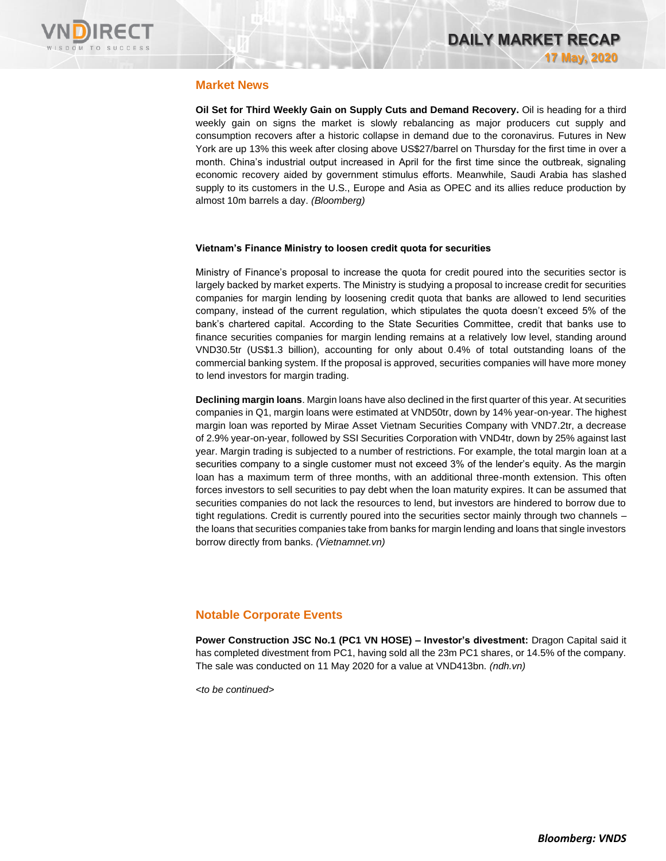

#### **Market News**

**Oil Set for Third Weekly Gain on Supply Cuts and Demand Recovery.** Oil is heading for a third weekly gain on signs the market is slowly rebalancing as major producers cut supply and consumption recovers after a historic collapse in demand due to the coronavirus. Futures in New York are up 13% this week after closing above US\$27/barrel on Thursday for the first time in over a month. China's industrial output increased in April for the first time since the outbreak, signaling economic recovery aided by government stimulus efforts. Meanwhile, Saudi Arabia has slashed supply to its customers in the U.S., Europe and Asia as OPEC and its allies reduce production by almost 10m barrels a day. *(Bloomberg)*

#### **Vietnam's Finance Ministry to loosen credit quota for securities**

Ministry of Finance's proposal to increase the quota for credit poured into the securities sector is largely backed by market experts. The Ministry is studying a proposal to increase credit for securities companies for margin lending by loosening credit quota that banks are allowed to lend securities company, instead of the current regulation, which stipulates the quota doesn't exceed 5% of the bank's chartered capital. According to the State Securities Committee, credit that banks use to finance securities companies for margin lending remains at a relatively low level, standing around VND30.5tr (US\$1.3 billion), accounting for only about 0.4% of total outstanding loans of the commercial banking system. If the proposal is approved, securities companies will have more money to lend investors for margin trading.

**Declining margin loans**. Margin loans have also declined in the first quarter of this year. At securities companies in Q1, margin loans were estimated at VND50tr, down by 14% year-on-year. The highest margin loan was reported by Mirae Asset Vietnam Securities Company with VND7.2tr, a decrease of 2.9% year-on-year, followed by SSI Securities Corporation with VND4tr, down by 25% against last year. Margin trading is subjected to a number of restrictions. For example, the total margin loan at a securities company to a single customer must not exceed 3% of the lender's equity. As the margin loan has a maximum term of three months, with an additional three-month extension. This often forces investors to sell securities to pay debt when the loan maturity expires. It can be assumed that securities companies do not lack the resources to lend, but investors are hindered to borrow due to tight regulations. Credit is currently poured into the securities sector mainly through two channels – the loans that securities companies take from banks for margin lending and loans that single investors borrow directly from banks. *(Vietnamnet.vn)*

#### **Notable Corporate Events**

**Power Construction JSC No.1 (PC1 VN HOSE) – Investor's divestment:** Dragon Capital said it has completed divestment from PC1, having sold all the 23m PC1 shares, or 14.5% of the company. The sale was conducted on 11 May 2020 for a value at VND413bn. *(ndh.vn)*

*<to be continued>*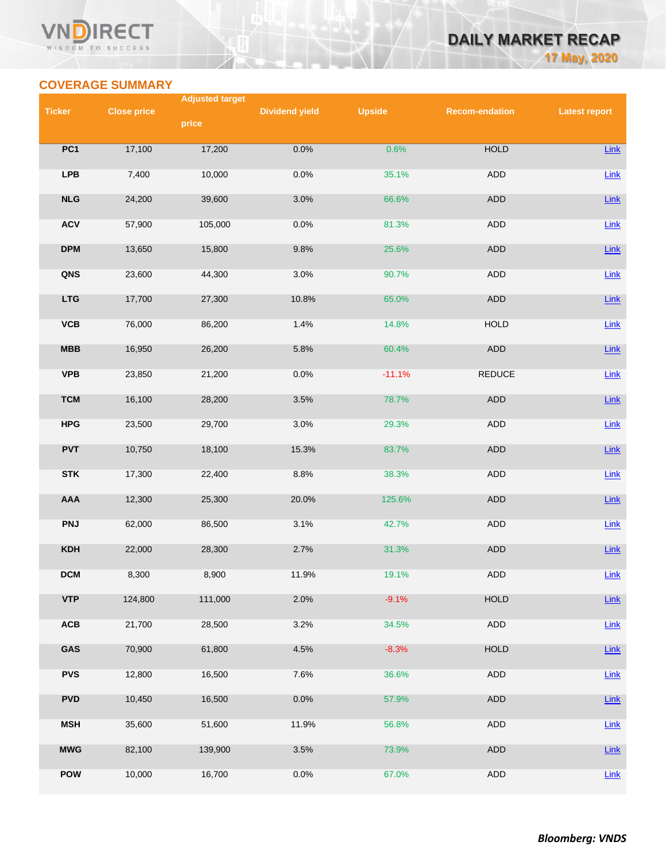#### VN **RECT** WISDOM TO SUCCESS

# **DAILY MARKET RECAP 17 May, 2020**

## **COVERAGE SUMMARY**

|                 |                    | <b>Adjusted target</b> |                       |               |                       |                      |
|-----------------|--------------------|------------------------|-----------------------|---------------|-----------------------|----------------------|
| <b>Ticker</b>   | <b>Close price</b> |                        | <b>Dividend yield</b> | <b>Upside</b> | <b>Recom-endation</b> | <b>Latest report</b> |
|                 |                    | price                  |                       |               |                       |                      |
|                 |                    |                        |                       |               |                       |                      |
| PC <sub>1</sub> | 17,100             | 17,200                 | 0.0%                  | 0.6%          | <b>HOLD</b>           | Link                 |
| <b>LPB</b>      | 7,400              | 10,000                 | 0.0%                  | 35.1%         | ADD                   | Link                 |
|                 |                    |                        |                       |               |                       |                      |
| NLG             | 24,200             | 39,600                 | 3.0%                  | 66.6%         | ADD                   | Link                 |
|                 |                    |                        |                       |               |                       |                      |
| <b>ACV</b>      | 57,900             | 105,000                | 0.0%                  | 81.3%         | <b>ADD</b>            | Link                 |
|                 |                    |                        |                       |               |                       |                      |
| <b>DPM</b>      | 13,650             | 15,800                 | 9.8%                  | 25.6%         | ADD                   | Link                 |
| QNS             | 23,600             | 44,300                 | 3.0%                  | 90.7%         | ADD                   | Link                 |
|                 |                    |                        |                       |               |                       |                      |
| <b>LTG</b>      | 17,700             | 27,300                 | 10.8%                 | 65.0%         | ADD                   | Link                 |
|                 |                    |                        |                       |               |                       |                      |
| VCB             | 76,000             | 86,200                 | 1.4%                  | 14.8%         | <b>HOLD</b>           | Link                 |
|                 |                    |                        |                       |               |                       |                      |
| MBB             | 16,950             | 26,200                 | 5.8%                  | 60.4%         | ADD                   | Link                 |
|                 |                    |                        |                       |               |                       |                      |
| <b>VPB</b>      | 23,850             | 21,200                 | 0.0%                  | $-11.1%$      | REDUCE                | Link                 |
| <b>TCM</b>      | 16,100             | 28,200                 | 3.5%                  | 78.7%         | <b>ADD</b>            | Link                 |
|                 |                    |                        |                       |               |                       |                      |
| <b>HPG</b>      | 23,500             | 29,700                 | 3.0%                  | 29.3%         | ADD                   | <b>Link</b>          |
|                 |                    |                        |                       |               |                       |                      |
| <b>PVT</b>      | 10,750             | 18,100                 | 15.3%                 | 83.7%         | ADD                   | $Link$               |
|                 |                    |                        |                       |               |                       |                      |
| <b>STK</b>      | 17,300             | 22,400                 | 8.8%                  | 38.3%         | ADD                   | Link                 |
|                 |                    |                        |                       |               |                       |                      |
| AAA             | 12,300             | 25,300                 | 20.0%                 | 125.6%        | ADD                   | Link                 |
| <b>PNJ</b>      | 62,000             | 86,500                 | 3.1%                  | 42.7%         | ADD                   | Link                 |
|                 |                    |                        |                       |               |                       |                      |
| <b>KDH</b>      | 22,000             | 28,300                 | 2.7%                  | 31.3%         | ADD                   | Link                 |
|                 |                    |                        |                       |               |                       |                      |
| <b>DCM</b>      | 8,300              | 8,900                  | 11.9%                 | 19.1%         | <b>ADD</b>            | <b>Link</b>          |
|                 |                    |                        |                       |               |                       |                      |
| <b>VTP</b>      | 124,800            | 111,000                | 2.0%                  | $-9.1%$       | <b>HOLD</b>           | Link                 |
| ACB             | 21,700             | 28,500                 | 3.2%                  | 34.5%         | <b>ADD</b>            | Link                 |
|                 |                    |                        |                       |               |                       |                      |
| GAS             | 70,900             | 61,800                 | 4.5%                  | $-8.3%$       | <b>HOLD</b>           | Link                 |
|                 |                    |                        |                       |               |                       |                      |
| <b>PVS</b>      | 12,800             | 16,500                 | 7.6%                  | 36.6%         | ADD                   | Link                 |
|                 |                    |                        |                       |               |                       |                      |
| <b>PVD</b>      | 10,450             | 16,500                 | 0.0%                  | 57.9%         | ADD                   | Link                 |
| <b>MSH</b>      | 35,600             | 51,600                 | 11.9%                 | 56.8%         | ADD                   | <b>Link</b>          |
|                 |                    |                        |                       |               |                       |                      |
| <b>MWG</b>      | 82,100             | 139,900                | 3.5%                  | 73.9%         | ADD                   | <b>Link</b>          |
|                 |                    |                        |                       |               |                       |                      |
| <b>POW</b>      | 10,000             | 16,700                 | 0.0%                  | 67.0%         | <b>ADD</b>            | Link                 |
|                 |                    |                        |                       |               |                       |                      |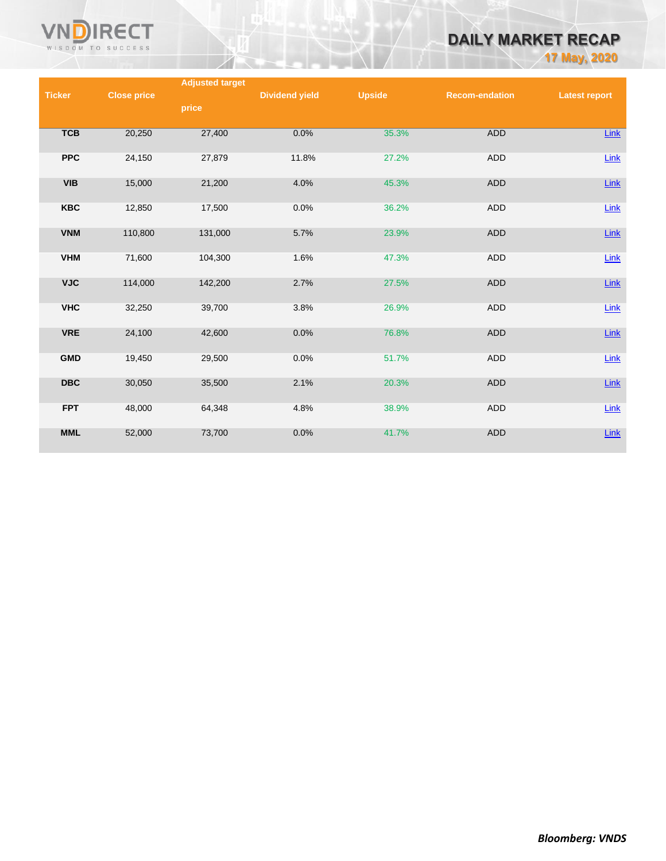

# **DAILY MARKET RECAP**

**17 May, 2020**

|               |                    | <b>Adjusted target</b> |                       |               |                       |                      |
|---------------|--------------------|------------------------|-----------------------|---------------|-----------------------|----------------------|
| <b>Ticker</b> | <b>Close price</b> |                        | <b>Dividend yield</b> | <b>Upside</b> | <b>Recom-endation</b> | <b>Latest report</b> |
|               |                    | price                  |                       |               |                       |                      |
|               |                    |                        |                       |               |                       |                      |
| <b>TCB</b>    | 20,250             | 27,400                 | 0.0%                  | 35.3%         | <b>ADD</b>            | Link                 |
|               |                    |                        |                       |               |                       |                      |
| <b>PPC</b>    | 24,150             | 27,879                 | 11.8%                 | 27.2%         | ADD                   | Link                 |
|               |                    |                        |                       |               |                       |                      |
| <b>VIB</b>    | 15,000             | 21,200                 | 4.0%                  | 45.3%         | <b>ADD</b>            | $Link$               |
|               |                    |                        |                       |               |                       |                      |
| <b>KBC</b>    | 12,850             | 17,500                 | 0.0%                  | 36.2%         | ADD                   | Link                 |
|               |                    |                        |                       |               |                       |                      |
| <b>VNM</b>    | 110,800            | 131,000                | 5.7%                  | 23.9%         | <b>ADD</b>            | $Link$               |
|               |                    |                        |                       |               |                       |                      |
| <b>VHM</b>    | 71,600             | 104,300                | 1.6%                  | 47.3%         | <b>ADD</b>            |                      |
|               |                    |                        |                       |               |                       | Link                 |
|               |                    |                        |                       |               |                       |                      |
| <b>VJC</b>    | 114,000            | 142,200                | 2.7%                  | 27.5%         | <b>ADD</b>            | $Link$               |
|               |                    |                        |                       |               |                       |                      |
| <b>VHC</b>    | 32,250             | 39,700                 | 3.8%                  | 26.9%         | <b>ADD</b>            | $Link$               |
|               |                    |                        |                       |               |                       |                      |
| <b>VRE</b>    | 24,100             | 42,600                 | 0.0%                  | 76.8%         | <b>ADD</b>            | $Link$               |
|               |                    |                        |                       |               |                       |                      |
| <b>GMD</b>    | 19,450             | 29,500                 | 0.0%                  | 51.7%         | <b>ADD</b>            | $Link$               |
|               |                    |                        |                       |               |                       |                      |
| <b>DBC</b>    | 30,050             | 35,500                 | 2.1%                  | 20.3%         | <b>ADD</b>            | $Link$               |
|               |                    |                        |                       |               |                       |                      |
| <b>FPT</b>    | 48,000             | 64,348                 | 4.8%                  | 38.9%         | <b>ADD</b>            | Link                 |
|               |                    |                        |                       |               |                       |                      |
| <b>MML</b>    | 52,000             | 73,700                 | 0.0%                  | 41.7%         | <b>ADD</b>            | $Link$               |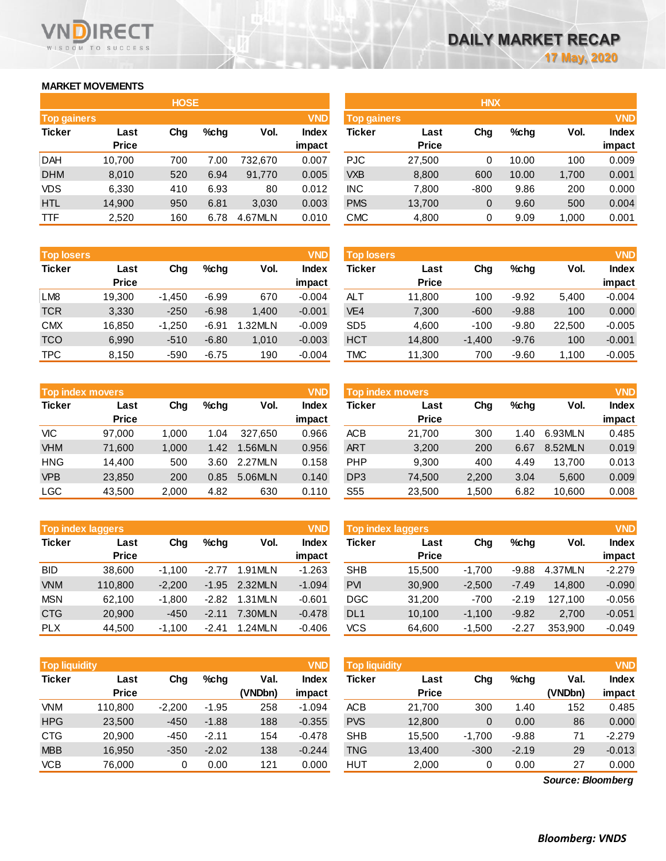#### **MARKET MOVEMENTS**

WISDOM TO SUCCESS

RECT

**VN** 

|                    | <b>HOSE</b>  |     |      |         |              |  |  |  |  |  |
|--------------------|--------------|-----|------|---------|--------------|--|--|--|--|--|
| <b>Top gainers</b> |              |     |      |         | <b>VND</b>   |  |  |  |  |  |
| <b>Ticker</b>      | Last         | Cha | %chq | Vol.    | <b>Index</b> |  |  |  |  |  |
|                    | <b>Price</b> |     |      |         | impact       |  |  |  |  |  |
| <b>DAH</b>         | 10,700       | 700 | 7.00 | 732,670 | 0.007        |  |  |  |  |  |
| <b>DHM</b>         | 8,010        | 520 | 6.94 | 91,770  | 0.005        |  |  |  |  |  |
| VDS                | 6,330        | 410 | 6.93 | 80      | 0.012        |  |  |  |  |  |
| <b>HTL</b>         | 14,900       | 950 | 6.81 | 3,030   | 0.003        |  |  |  |  |  |
| <b>TTF</b>         | 2,520        | 160 | 6.78 | 4.67MLN | 0.010        |  |  |  |  |  |

| <b>Top losers</b> |              |          |         |         | <b>VND</b>   |
|-------------------|--------------|----------|---------|---------|--------------|
| <b>Ticker</b>     | Last         | Cha      | %chq    | Vol.    | <b>Index</b> |
|                   | <b>Price</b> |          |         |         | impact       |
| LM <sub>8</sub>   | 19,300       | $-1,450$ | $-6.99$ | 670     | $-0.004$     |
| <b>TCR</b>        | 3,330        | $-250$   | $-6.98$ | 1,400   | $-0.001$     |
| <b>CMX</b>        | 16,850       | $-1,250$ | $-6.91$ | 1.32MLN | $-0.009$     |
| <b>TCO</b>        | 6,990        | $-510$   | $-6.80$ | 1,010   | $-0.003$     |
| <b>TPC</b>        | 8,150        | $-590$   | $-6.75$ | 190     | $-0.004$     |

| <b>Top index movers</b> |              | <b>VND</b> |      |         |              |
|-------------------------|--------------|------------|------|---------|--------------|
| <b>Ticker</b>           | Last         | Cha        | %chq | Vol.    | <b>Index</b> |
|                         | <b>Price</b> |            |      |         | impact       |
| <b>VIC</b>              | 97,000       | 1,000      | 1.04 | 327,650 | 0.966        |
| <b>VHM</b>              | 71,600       | 1,000      | 1.42 | 1.56MLN | 0.956        |
| <b>HNG</b>              | 14,400       | 500        | 3.60 | 2.27MLN | 0.158        |
| <b>VPB</b>              | 23,850       | 200        | 0.85 | 5.06MLN | 0.140        |
| <b>LGC</b>              | 43,500       | 2,000      | 4.82 | 630     | 0.110        |

|               | <b>Top index laggers</b> |          |         |         | <b>VND</b>   |
|---------------|--------------------------|----------|---------|---------|--------------|
| <b>Ticker</b> | Last                     | Cha      | %chq    | Vol.    | <b>Index</b> |
|               | <b>Price</b>             |          |         |         | impact       |
| <b>BID</b>    | 38,600                   | $-1,100$ | $-2.77$ | 1.91MLN | $-1.263$     |
| <b>VNM</b>    | 110,800                  | $-2,200$ | $-1.95$ | 2.32MLN | $-1.094$     |
| <b>MSN</b>    | 62,100                   | $-1,800$ | $-2.82$ | 1.31MLN | $-0.601$     |
| <b>CTG</b>    | 20,900                   | $-450$   | $-2.11$ | 7.30MLN | $-0.478$     |
| <b>PLX</b>    | 44.500                   | $-1.100$ | $-2.41$ | 1.24MLN | $-0.406$     |

| <b>VND</b><br><b>Top liquidity</b> |              |          |         |         |              |  |  |  |  |
|------------------------------------|--------------|----------|---------|---------|--------------|--|--|--|--|
| <b>Ticker</b>                      | Last         | Cha      | %chq    | Val.    | <b>Index</b> |  |  |  |  |
|                                    | <b>Price</b> |          |         | (VNDbn) | impact       |  |  |  |  |
| <b>VNM</b>                         | 110,800      | $-2,200$ | $-1.95$ | 258     | $-1.094$     |  |  |  |  |
| <b>HPG</b>                         | 23,500       | $-450$   | $-1.88$ | 188     | $-0.355$     |  |  |  |  |
| <b>CTG</b>                         | 20,900       | -450     | $-2.11$ | 154     | $-0.478$     |  |  |  |  |
| <b>MBB</b>                         | 16.950       | $-350$   | $-2.02$ | 138     | $-0.244$     |  |  |  |  |
| <b>VCB</b>                         | 76,000       | 0        | 0.00    | 121     | 0.000        |  |  |  |  |

|                    |              | <b>HOSE</b> |         |         |              |                    |              | <b>HNX</b> |         |       |              |
|--------------------|--------------|-------------|---------|---------|--------------|--------------------|--------------|------------|---------|-------|--------------|
| <b>Top gainers</b> |              |             |         |         | <b>VND</b>   | <b>Top gainers</b> |              |            |         |       | <b>VND</b>   |
| Ticker             | Last         | Chg         | $%$ chg | Vol.    | <b>Index</b> | Ticker             | Last         | Chg        | $%$ chg | Vol.  | <b>Index</b> |
|                    | <b>Price</b> |             |         |         | impact       |                    | <b>Price</b> |            |         |       | impact       |
| DAH                | 10,700       | 700         | 7.00    | 732.670 | 0.007        | <b>PJC</b>         | 27,500       | 0          | 10.00   | 100   | 0.009        |
| <b>DHM</b>         | 8,010        | 520         | 6.94    | 91,770  | 0.005        | <b>VXB</b>         | 8,800        | 600        | 10.00   | 1,700 | 0.001        |
| VDS                | 6,330        | 410         | 6.93    | 80      | 0.012        | <b>INC</b>         | 7.800        | $-800$     | 9.86    | 200   | 0.000        |
| <b>HTL</b>         | 14,900       | 950         | 6.81    | 3,030   | 0.003        | <b>PMS</b>         | 13,700       | 0          | 9.60    | 500   | 0.004        |
| TTF                | 2,520        | 160         | 6.78    | 4.67MLN | 0.010        | <b>CMC</b>         | 4,800        | 0          | 9.09    | 1,000 | 0.001        |
|                    |              |             |         |         |              |                    |              |            |         |       |              |

| <b>Top losers</b> |              |          |         |         | <b>VND</b>   | <b>Top losers</b> |              |          |         |        | <b>VND</b>   |
|-------------------|--------------|----------|---------|---------|--------------|-------------------|--------------|----------|---------|--------|--------------|
| Ticker            | Last         | Chg      | $%$ chg | Vol.    | <b>Index</b> | Ticker            | Last         | Chg      | $%$ chg | Vol.   | <b>Index</b> |
|                   | <b>Price</b> |          |         |         | impact       |                   | <b>Price</b> |          |         |        | impact       |
| LM <sub>8</sub>   | 19,300       | $-1.450$ | $-6.99$ | 670     | $-0.004$     | ALT               | 11,800       | 100      | $-9.92$ | 5.400  | $-0.004$     |
| TCR               | 3,330        | $-250$   | $-6.98$ | 1.400   | $-0.001$     | VE <sub>4</sub>   | 7,300        | $-600$   | $-9.88$ | 100    | 0.000        |
| <b>CMX</b>        | 16.850       | $-1.250$ | $-6.91$ | 1.32MLN | $-0.009$     | SD <sub>5</sub>   | 4.600        | $-100$   | $-9.80$ | 22.500 | $-0.005$     |
| TCO               | 6,990        | $-510$   | $-6.80$ | 1,010   | $-0.003$     | <b>HCT</b>        | 14,800       | $-1,400$ | $-9.76$ | 100    | $-0.001$     |
| TPC               | 8,150        | $-590$   | $-6.75$ | 190     | $-0.004$     | <b>TMC</b>        | 11,300       | 700      | $-9.60$ | 1.100  | $-0.005$     |

| <b>Top index movers</b> |              |       |      |         | <b>VND</b> | Top index movers |              |       |         |         |              |  |
|-------------------------|--------------|-------|------|---------|------------|------------------|--------------|-------|---------|---------|--------------|--|
| Ticker                  | Last         | Chg   | %chq | Vol.    | Index      | Ticker           | Last         | Chg   | $%$ chg | Vol.    | <b>Index</b> |  |
|                         | <b>Price</b> |       |      |         | impact     |                  | <b>Price</b> |       |         |         | impact       |  |
| VIC                     | 97.000       | 1.000 | 1.04 | 327.650 | 0.966      | <b>ACB</b>       | 21.700       | 300   | 1.40    | 6.93MLN | 0.485        |  |
| <b>VHM</b>              | 71.600       | 1.000 | 1.42 | 1.56MLN | 0.956      | <b>ART</b>       | 3,200        | 200   | 6.67    | 8.52MLN | 0.019        |  |
| HNG                     | 14.400       | 500   | 3.60 | 2.27MLN | 0.158      | <b>PHP</b>       | 9.300        | 400   | 4.49    | 13.700  | 0.013        |  |
| <b>VPB</b>              | 23,850       | 200   | 0.85 | 5.06MLN | 0.140      | DP <sub>3</sub>  | 74.500       | 2.200 | 3.04    | 5.600   | 0.009        |  |
| LGC                     | 43,500       | 2,000 | 4.82 | 630     | 0.110      | S <sub>55</sub>  | 23,500       | 1,500 | 6.82    | 10,600  | 0.008        |  |
|                         |              |       |      |         |            |                  |              |       |         |         |              |  |

|            | <b>VND</b><br><b>Top index laggers</b> |          |         |         |          |                 | Top index laggers |          |         |         |              |  |
|------------|----------------------------------------|----------|---------|---------|----------|-----------------|-------------------|----------|---------|---------|--------------|--|
| Ticker     | Last                                   | Chg      | $%$ chq | Vol.    | Index    | Ticker          | Last              | Chg      | %chq    | Vol.    | <b>Index</b> |  |
|            | <b>Price</b>                           |          |         |         | impact   |                 | <b>Price</b>      |          |         |         | impact       |  |
| BID        | 38.600                                 | $-1.100$ | $-2.77$ | 1.91MLN | $-1.263$ | <b>SHB</b>      | 15.500            | $-1.700$ | $-9.88$ | 4.37MLN | $-2.279$     |  |
| <b>VNM</b> | 110,800                                | $-2.200$ | $-1.95$ | 2.32MLN | $-1.094$ | <b>PVI</b>      | 30,900            | $-2.500$ | $-7.49$ | 14.800  | $-0.090$     |  |
| MSN        | 62.100                                 | $-1.800$ | $-2.82$ | 1.31MLN | $-0.601$ | <b>DGC</b>      | 31.200            | $-700$   | $-2.19$ | 127.100 | $-0.056$     |  |
| <b>CTG</b> | 20,900                                 | $-450$   | $-2.11$ | 7.30MLN | $-0.478$ | DL <sub>1</sub> | 10.100            | $-1.100$ | $-9.82$ | 2.700   | $-0.051$     |  |
| <b>PLX</b> | 44.500                                 | $-1.100$ | $-2.41$ | 1.24MLN | $-0.406$ | VCS             | 64,600            | $-1.500$ | $-2.27$ | 353.900 | $-0.049$     |  |

| <b>Top liquidity</b> |              |          |         |         | <b>VND</b>   | <b>Top liquidity</b> |              |          |         |                   | <b>VND</b>   |
|----------------------|--------------|----------|---------|---------|--------------|----------------------|--------------|----------|---------|-------------------|--------------|
| Ticker               | Last         | Chg      | $%$ chg | Val.    | <b>Index</b> | Ticker               | Last         | Chg      | $%$ chg | Val.              | <b>Index</b> |
|                      | <b>Price</b> |          |         | (VNDbn) | impact       |                      | <b>Price</b> |          |         | (VNDbn)           | impact       |
| VNM                  | 110.800      | $-2,200$ | $-1.95$ | 258     | $-1.094$     | <b>ACB</b>           | 21.700       | 300      | 1.40    | 152               | 0.485        |
| <b>HPG</b>           | 23,500       | $-450$   | $-1.88$ | 188     | $-0.355$     | <b>PVS</b>           | 12,800       | 0        | 0.00    | 86                | 0.000        |
| CTG                  | 20,900       | $-450$   | $-2.11$ | 154     | $-0.478$     | <b>SHB</b>           | 15,500       | $-1.700$ | $-9.88$ | 71                | $-2.279$     |
| <b>MBB</b>           | 16.950       | $-350$   | $-2.02$ | 138     | $-0.244$     | <b>TNG</b>           | 13,400       | $-300$   | $-2.19$ | 29                | $-0.013$     |
| VCB                  | 76,000       | 0        | 0.00    | 121     | 0.000        | <b>HUT</b>           | 2,000        | 0        | 0.00    | 27                | 0.000        |
|                      |              |          |         |         |              |                      |              |          |         | Source: Bloomberg |              |

*Source: Bloomberg*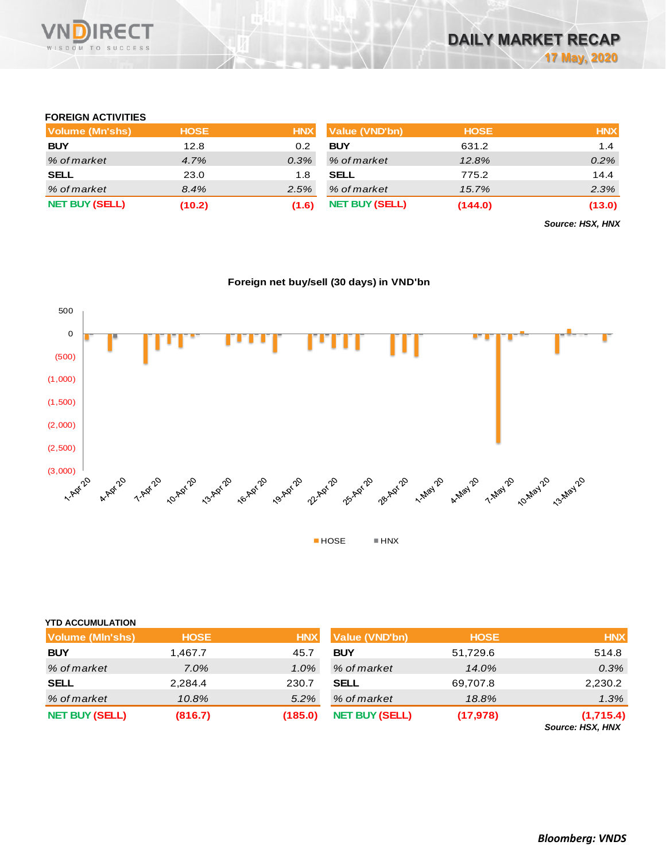

#### **FOREIGN ACTIVITIES**

| Volume (Mn'shs)       | <b>HOSE</b> | <b>HNX</b> | <b>Value (VND'bn)</b> | <b>HOSE</b> | <b>HNX</b> |
|-----------------------|-------------|------------|-----------------------|-------------|------------|
| <b>BUY</b>            | 12.8        | 0.2        | <b>BUY</b>            | 631.2       | 1.4        |
| % of market           | 4.7%        | $0.3\%$    | % of market           | 12.8%       | 0.2%       |
| <b>SELL</b>           | 23.0        | 1.8        | <b>SELL</b>           | 775.2       | 14.4       |
| % of market           | 8.4%        | 2.5%       | % of market           | 15.7%       | 2.3%       |
| <b>NET BUY (SELL)</b> | (10.2)      | (1.6)      | <b>NET BUY (SELL)</b> | (144.0)     | (13.0)     |

*Source: HSX, HNX*

#### **Foreign net buy/sell (30 days) in VND'bn**



#### **YTD ACCUMULATION**

| <b>Volume (MIn'shs)</b> | <b>HOSE</b> | <b>HNX</b> | Value (VND'bn)        | <b>HOSE</b> | <b>HNX</b>                    |
|-------------------------|-------------|------------|-----------------------|-------------|-------------------------------|
| <b>BUY</b>              | 1,467.7     | 45.7       | <b>BUY</b>            | 51,729.6    | 514.8                         |
| % of market             | $7.0\%$     | 1.0%       | % of market           | 14.0%       | 0.3%                          |
| <b>SELL</b>             | 2,284.4     | 230.7      | <b>SELL</b>           | 69,707.8    | 2,230.2                       |
| % of market             | 10.8%       | 5.2%       | % of market           | 18.8%       | 1.3%                          |
| <b>NET BUY (SELL)</b>   | (816.7)     | (185.0)    | <b>NET BUY (SELL)</b> | (17, 978)   | (1,715.4)<br>Source: HSX, HNX |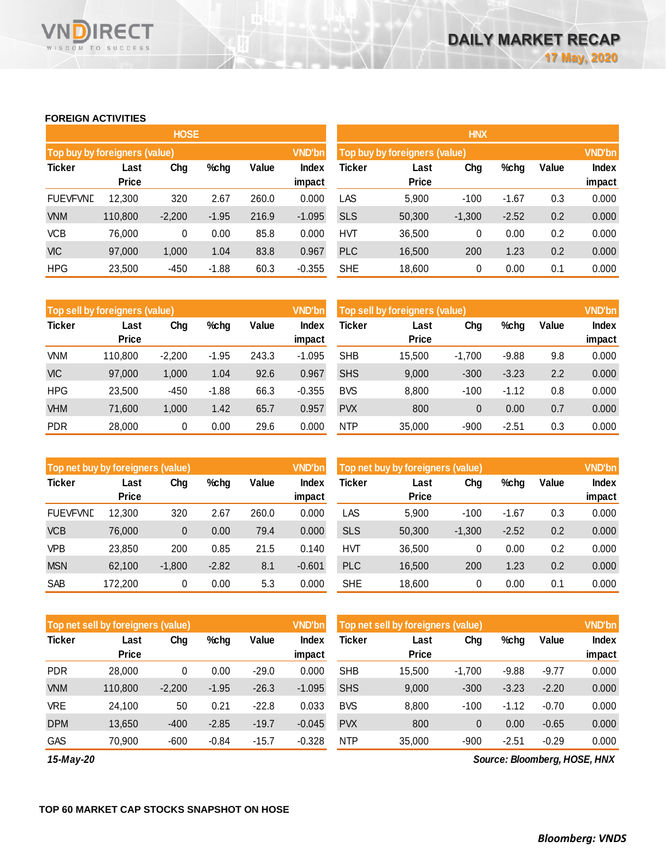#### **FOREIGN ACTIVITIES**

WISDOM TO SUCCESS

**RECT** 

VND

|                               |                      | <b>HOSE</b> |         |       |                 | <b>HNX</b>                                     |                      |          |         |       |                        |  |
|-------------------------------|----------------------|-------------|---------|-------|-----------------|------------------------------------------------|----------------------|----------|---------|-------|------------------------|--|
| Top buy by foreigners (value) |                      |             |         |       | VND'bn          | <b>VND'bn</b><br>Top buy by foreigners (value) |                      |          |         |       |                        |  |
| <b>Ticker</b>                 | Last<br><b>Price</b> | Chg         | $%$ chg | Value | Index<br>impact | Ticker                                         | Last<br><b>Price</b> | Chg      | %chg    | Value | <b>Index</b><br>impact |  |
| <b>FUEVFVND</b>               | 12,300               | 320         | 2.67    | 260.0 | 0.000           | LAS                                            | 5,900                | $-100$   | $-1.67$ | 0.3   | 0.000                  |  |
| <b>VNM</b>                    | 110,800              | $-2,200$    | $-1.95$ | 216.9 | $-1.095$        | <b>SLS</b>                                     | 50,300               | $-1,300$ | $-2.52$ | 0.2   | 0.000                  |  |
| <b>VCB</b>                    | 76.000               | 0           | 0.00    | 85.8  | 0.000           | <b>HVT</b>                                     | 36,500               | 0        | 0.00    | 0.2   | 0.000                  |  |
| <b>VIC</b>                    | 97,000               | 1,000       | 1.04    | 83.8  | 0.967           | <b>PLC</b>                                     | 16,500               | 200      | 1.23    | 0.2   | 0.000                  |  |
| <b>HPG</b>                    | 23,500               | $-450$      | $-1.88$ | 60.3  | $-0.355$        | <b>SHE</b>                                     | 18,600               | 0        | 0.00    | 0.1   | 0.000                  |  |

|               | Top sell by foreigners (value) |                                      |         |       | <b>VND'bn</b> | Top sell by foreigners (value) | <b>VND'bn</b>        |          |         |       |              |
|---------------|--------------------------------|--------------------------------------|---------|-------|---------------|--------------------------------|----------------------|----------|---------|-------|--------------|
| <b>Ticker</b> | Last                           | Value<br>%chg<br>Chg<br><b>Price</b> |         |       | <b>Index</b>  | Ticker                         | Last<br><b>Price</b> |          | %chg    | Value | <b>Index</b> |
|               |                                |                                      |         |       | impact        |                                |                      |          |         |       | impact       |
| <b>VNM</b>    | 110.800                        | $-2.200$                             | $-1.95$ | 243.3 | $-1.095$      | <b>SHB</b>                     | 15.500               | $-1.700$ | $-9.88$ | 9.8   | 0.000        |
| <b>VIC</b>    | 97,000                         | 1,000                                | 1.04    | 92.6  | 0.967         | <b>SHS</b>                     | 9,000                | $-300$   | $-3.23$ | 2.2   | 0.000        |
| <b>HPG</b>    | 23.500                         | $-450$                               | $-1.88$ | 66.3  | $-0.355$      | <b>BVS</b>                     | 8.800                | $-100$   | $-1.12$ | 0.8   | 0.000        |
| <b>VHM</b>    | 71,600                         | 1,000                                | 1.42    | 65.7  | 0.957         | <b>PVX</b>                     | 800                  | 0        | 0.00    | 0.7   | 0.000        |
| <b>PDR</b>    | 28,000                         | 0                                    | 0.00    | 29.6  | 0.000         | <b>NTP</b>                     | 35.000               | $-900$   | $-2.51$ | 0.3   | 0.000        |

|                 | <b>VND'bn</b><br>Top net buy by foreigners (value) |          |               |       |                 |            | Top net buy by foreigners (value) |                     |         |       |              |  |
|-----------------|----------------------------------------------------|----------|---------------|-------|-----------------|------------|-----------------------------------|---------------------|---------|-------|--------------|--|
| <b>Ticker</b>   | Last<br><b>Price</b>                               | Chg      | Value<br>%chg |       | Index<br>impact | Ticker     | Last                              | Chg<br><b>Price</b> |         | Value | <b>Index</b> |  |
|                 |                                                    |          |               |       |                 |            |                                   |                     |         |       | impact       |  |
| <b>FUEVFVND</b> | 12.300                                             | 320      | 2.67          | 260.0 | 0.000           | LAS        | 5.900                             | $-100$              | $-1.67$ | 0.3   | 0.000        |  |
| <b>VCB</b>      | 76,000                                             | 0        | 0.00          | 79.4  | 0.000           | <b>SLS</b> | 50,300                            | $-1,300$            | $-2.52$ | 0.2   | 0.000        |  |
| <b>VPB</b>      | 23,850                                             | 200      | 0.85          | 21.5  | 0.140           | <b>HVT</b> | 36.500                            | 0                   | 0.00    | 0.2   | 0.000        |  |
| <b>MSN</b>      | 62.100                                             | $-1,800$ | $-2.82$       | 8.1   | $-0.601$        | <b>PLC</b> | 16,500                            | 200                 | 1.23    | 0.2   | 0.000        |  |
| <b>SAB</b>      | 172.200                                            | 0        | 0.00          | 5.3   | 0.000           | <b>SHE</b> | 18,600                            | 0                   | 0.00    | 0.1   | 0.000        |  |

|               | Top net sell by foreigners (value) |          |         |         | <b>VND'bn</b>          | Top net sell by foreigners (value) |                      | <b>VND'bn</b> |         |         |                        |
|---------------|------------------------------------|----------|---------|---------|------------------------|------------------------------------|----------------------|---------------|---------|---------|------------------------|
| <b>Ticker</b> | Last<br><b>Price</b>               | Chg      | %chg    | Value   | <b>Index</b><br>impact | Ticker                             | Last<br><b>Price</b> | Chg           | %chg    | Value   | <b>Index</b><br>impact |
| <b>PDR</b>    | 28,000                             | 0        | 0.00    | $-29.0$ | 0.000                  | <b>SHB</b>                         | 15,500               | $-1.700$      | $-9.88$ | $-9.77$ | 0.000                  |
| <b>VNM</b>    | 110,800                            | $-2,200$ | $-1.95$ | $-26.3$ | $-1.095$               | <b>SHS</b>                         | 9,000                | $-300$        | $-3.23$ | $-2.20$ | 0.000                  |
| <b>VRE</b>    | 24.100                             | 50       | 0.21    | $-22.8$ | 0.033                  | <b>BVS</b>                         | 8,800                | $-100$        | $-1.12$ | $-0.70$ | 0.000                  |
| <b>DPM</b>    | 13.650                             | $-400$   | $-2.85$ | $-19.7$ | $-0.045$               | <b>PVX</b>                         | 800                  | $\mathbf{0}$  | 0.00    | $-0.65$ | 0.000                  |
| GAS           | 70.900                             | $-600$   | $-0.84$ | $-15.7$ | $-0.328$               | <b>NTP</b>                         | 35,000               | $-900$        | $-2.51$ | $-0.29$ | 0.000                  |

*15-May-20*

*Source: Bloomberg, HOSE, HNX*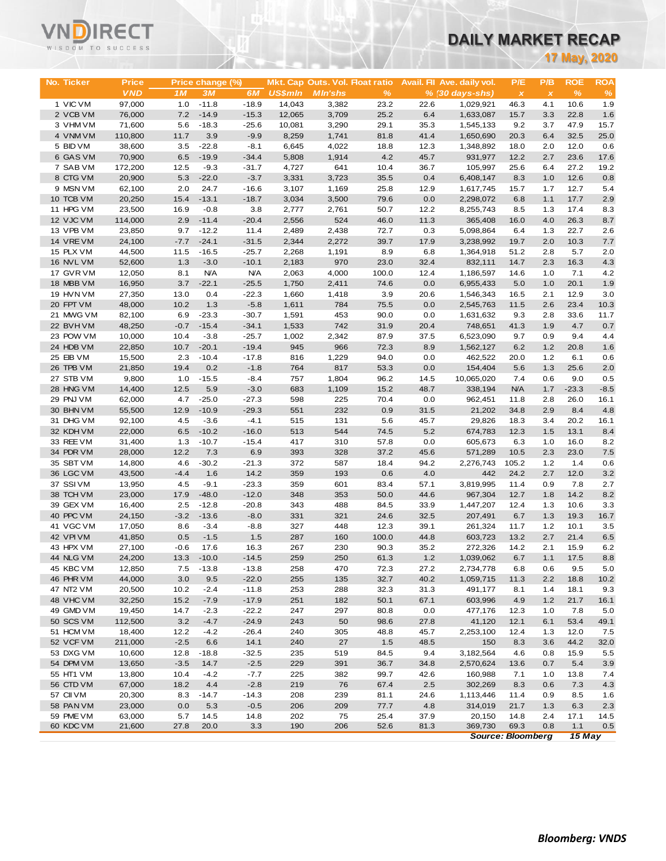# VNĒ

# **DAILY MARKET RECAP**

|                        | WISDOM TO SUCCESS |                |                    |                    |                  |                                 |               |              | <u>DAILY MARKET RECAP</u>  |                          |                           |              |                     |
|------------------------|-------------------|----------------|--------------------|--------------------|------------------|---------------------------------|---------------|--------------|----------------------------|--------------------------|---------------------------|--------------|---------------------|
|                        |                   |                |                    |                    |                  |                                 |               |              |                            |                          |                           |              | <b>17 May, 2020</b> |
|                        |                   |                |                    |                    |                  |                                 |               |              |                            |                          |                           |              |                     |
| No. Ticker             | <b>Price</b>      |                | Price change (%)   |                    |                  | Mkt. Cap Outs. Vol. Float ratio |               |              | Avail. Fil Ave. daily vol. | P/E                      | P/B                       | <b>ROE</b>   | <b>ROA</b>          |
|                        | <b>VND</b>        | 1M             | 3M                 | 6M                 | <b>US\$mln</b>   | <b>MIn'shs</b>                  | $\frac{9}{6}$ |              | $% (30 days-shs)$          | $\pmb{\chi}$             | $\boldsymbol{\mathsf{x}}$ | %            | $\%$                |
| 1 VIC VM<br>2 VCB VM   | 97,000<br>76,000  | 1.0<br>7.2     | $-11.8$<br>$-14.9$ | $-18.9$<br>$-15.3$ | 14.043<br>12,065 | 3,382<br>3,709                  | 23.2<br>25.2  | 22.6<br>6.4  | 1,029,921                  | 46.3                     | 4.1<br>3.3                | 10.6<br>22.8 | 1.9<br>1.6          |
| 3 VHM VM               | 71,600            | 5.6            | $-18.3$            | $-25.6$            | 10,081           | 3,290                           | 29.1          | 35.3         | 1,633,087<br>1,545,133     | 15.7<br>9.2              | 3.7                       | 47.9         | 15.7                |
| 4 VNM VM               | 110,800           | 11.7           | 3.9                | $-9.9$             | 8,259            | 1,741                           | 81.8          | 41.4         | 1,650,690                  | 20.3                     | 6.4                       | 32.5         | 25.0                |
| 5 BID VM               | 38,600            | 3.5            | $-22.8$            | $-8.1$             | 6,645            | 4,022                           | 18.8          | 12.3         | 1,348,892                  | 18.0                     | 2.0                       | 12.0         | 0.6                 |
| 6 GAS VM               | 70,900            | 6.5            | $-19.9$            | $-34.4$            | 5,808            | 1,914                           | 4.2           | 45.7         | 931,977                    | 12.2                     | 2.7                       | 23.6         | 17.6                |
| 7 SAB VM               | 172,200           | 12.5           | $-9.3$             | $-31.7$            | 4,727            | 641                             | 10.4          | 36.7         | 105,997                    | 25.6                     | 6.4                       | 27.2         | 19.2                |
| 8 CTG VM               | 20,900            | 5.3            | $-22.0$            | $-3.7$             | 3,331            | 3,723                           | 35.5          | 0.4          | 6,408,147                  | 8.3                      | 1.0                       | 12.6         | 0.8                 |
| 9 MSN VM               | 62,100            | 2.0            | 24.7               | $-16.6$            | 3,107            | 1,169                           | 25.8          | 12.9         | 1,617,745                  | 15.7                     | 1.7                       | 12.7         | 5.4                 |
| 10 TCB VM              | 20,250            | 15.4           | $-13.1$            | $-18.7$            | 3,034            | 3,500                           | 79.6          | 0.0          | 2,298,072                  | 6.8                      | 1.1                       | 17.7         | 2.9                 |
| 11 HPG VM              | 23,500            | 16.9           | $-0.8$             | 3.8                | 2,777            | 2,761                           | 50.7          | 12.2         | 8,255,743                  | 8.5                      | 1.3                       | 17.4         | 8.3                 |
| 12 VJC VM<br>13 VPB VM | 114,000<br>23,850 | 2.9<br>9.7     | $-11.4$<br>$-12.2$ | $-20.4$<br>11.4    | 2,556<br>2,489   | 524<br>2,438                    | 46.0<br>72.7  | 11.3<br>0.3  | 365,408<br>5,098,864       | 16.0<br>6.4              | 4.0                       | 26.3<br>22.7 | 8.7<br>2.6          |
| 14 VREVM               | 24,100            | $-7.7$         | $-24.1$            | $-31.5$            | 2,344            | 2,272                           | 39.7          | 17.9         | 3,238,992                  | 19.7                     | 1.3<br>2.0                | 10.3         | 7.7                 |
| 15 PLX VM              | 44,500            | 11.5           | $-16.5$            | $-25.7$            | 2,268            | 1,191                           | 8.9           | 6.8          | 1,364,918                  | 51.2                     | 2.8                       | 5.7          | 2.0                 |
| 16 NVL VM              | 52,600            | 1.3            | $-3.0$             | $-10.1$            | 2,183            | 970                             | 23.0          | 32.4         | 832,111                    | 14.7                     | 2.3                       | 16.3         | 4.3                 |
| 17 GVR VM              | 12,050            | 8.1            | <b>N/A</b>         | <b>N/A</b>         | 2,063            | 4,000                           | 100.0         | 12.4         | 1,186,597                  | 14.6                     | 1.0                       | 7.1          | 4.2                 |
| 18 MBB VM              | 16,950            | 3.7            | $-22.1$            | $-25.5$            | 1,750            | 2,411                           | 74.6          | 0.0          | 6,955,433                  | 5.0                      | 1.0                       | 20.1         | 1.9                 |
| 19 HVN VM              | 27,350            | 13.0           | 0.4                | $-22.3$            | 1,660            | 1,418                           | 3.9           | 20.6         | 1,546,343                  | 16.5                     | 2.1                       | 12.9         | 3.0                 |
| 20 FPT VM              | 48,000            | 10.2           | 1.3                | $-5.8$             | 1,611            | 784                             | 75.5          | 0.0          | 2,545,763                  | 11.5                     | 2.6                       | 23.4         | 10.3                |
| 21 MWG VM              | 82,100            | 6.9            | $-23.3$            | $-30.7$            | 1,591            | 453                             | 90.0          | 0.0          | 1,631,632                  | 9.3                      | 2.8                       | 33.6         | 11.7                |
| 22 BVHVM               | 48,250            | $-0.7$         | $-15.4$            | $-34.1$            | 1,533            | 742                             | 31.9          | 20.4         | 748,651                    | 41.3                     | 1.9                       | 4.7          | 0.7                 |
| 23 POW VM              | 10,000            | 10.4           | $-3.8$             | $-25.7$            | 1,002            | 2,342                           | 87.9          | 37.5         | 6,523,090                  | 9.7                      | 0.9                       | 9.4          | 4.4                 |
| 24 HDB VM              | 22,850            | 10.7           | $-20.1$            | $-19.4$            | 945              | 966                             | 72.3          | 8.9          | 1,562,127                  | 6.2                      | 1.2                       | 20.8         | 1.6                 |
| 25 EIB VM              | 15,500            | 2.3            | $-10.4$            | $-17.8$            | 816              | 1,229                           | 94.0          | 0.0          | 462,522                    | 20.0                     | 1.2                       | 6.1          | 0.6                 |
| 26 TPB VM<br>27 STB VM | 21,850            | 19.4           | 0.2                | $-1.8$             | 764              | 817                             | 53.3          | 0.0          | 154,404                    | 5.6                      | 1.3                       | 25.6<br>9.0  | 2.0                 |
| 28 HNG VM              | 9,800<br>14,400   | 1.0<br>12.5    | $-15.5$<br>5.9     | $-8.4$<br>$-3.0$   | 757<br>683       | 1,804<br>1,109                  | 96.2<br>15.2  | 14.5<br>48.7 | 10,065,020<br>338,194      | 7.4<br><b>N/A</b>        | 0.6<br>1.7                | $-23.3$      | 0.5<br>$-8.5$       |
| 29 PNJ VM              | 62,000            | 4.7            | $-25.0$            | $-27.3$            | 598              | 225                             | 70.4          | 0.0          | 962,451                    | 11.8                     | 2.8                       | 26.0         | 16.1                |
| 30 BHN VM              | 55,500            | 12.9           | $-10.9$            | $-29.3$            | 551              | 232                             | 0.9           | 31.5         | 21,202                     | 34.8                     | 2.9                       | 8.4          | 4.8                 |
| 31 DHG VM              | 92,100            | 4.5            | $-3.6$             | $-4.1$             | 515              | 131                             | 5.6           | 45.7         | 29,826                     | 18.3                     | 3.4                       | 20.2         | 16.1                |
| 32 KDH VM              | 22,000            | 6.5            | $-10.2$            | $-16.0$            | 513              | 544                             | 74.5          | 5.2          | 674,783                    | 12.3                     | 1.5                       | 13.1         | 8.4                 |
| 33 REE VM              | 31,400            | 1.3            | $-10.7$            | $-15.4$            | 417              | 310                             | 57.8          | 0.0          | 605,673                    | 6.3                      | 1.0                       | 16.0         | 8.2                 |
| 34 PDR VM              | 28,000            | 12.2           | 7.3                | 6.9                | 393              | 328                             | 37.2          | 45.6         | 571,289                    | 10.5                     | 2.3                       | 23.0         | 7.5                 |
| 35 SBT VM              | 14,800            | 4.6            | $-30.2$            | $-21.3$            | 372              | 587                             | 18.4          | 94.2         | 2,276,743                  | 105.2                    | 1.2                       | $1.4$        | 0.6                 |
| 36 LGC VM              | 43,500            | $-4.4$         | 1.6                | 14.2               | 359              | 193                             | 0.6           | 4.0          | 442                        | 24.2                     | 2.7                       | 12.0         | 3.2                 |
| 37 SSIVM               | 13,950            | 4.5            | $-9.1$             | $-23.3$            | 359              | 601                             | 83.4          | 57.1         | 3,819,995                  | 11.4                     | 0.9                       | 7.8          | 2.7                 |
| 38 TCH VM              | 23,000            | 17.9           | $-48.0$            | $-12.0$            | 348              | 353                             | 50.0          | 44.6         | 967,304                    | 12.7                     | 1.8                       | 14.2         | 8.2                 |
| 39 GEX VM              | 16,400            | 2.5            | $-12.8$            | $-20.8$<br>$-8.0$  | 343              | 488<br>321                      | 84.5          | 33.9         | 1,447,207                  | 12.4<br>6.7              | 1.3                       | 10.6<br>19.3 | 3.3                 |
| 40 PPC VM<br>41 VGC VM | 24,150<br>17,050  | $-3.2$<br>8.6  | $-13.6$<br>$-3.4$  | $-8.8$             | 331<br>327       | 448                             | 24.6<br>12.3  | 32.5<br>39.1 | 207,491<br>261,324         | 11.7                     | 1.3<br>1.2                | 10.1         | 16.7<br>3.5         |
| 42 VPIVM               | 41,850            | 0.5            | $-1.5$             | 1.5                | 287              | 160                             | 100.0         | 44.8         | 603,723                    | 13.2                     | 2.7                       | 21.4         | 6.5                 |
| 43 HPX VM              | 27,100            | $-0.6$         | 17.6               | 16.3               | 267              | 230                             | 90.3          | 35.2         | 272,326                    | 14.2                     | 2.1                       | 15.9         | 6.2                 |
| 44 NLG VM              | 24,200            | 13.3           | $-10.0$            | $-14.5$            | 259              | 250                             | 61.3          | $1.2$        | 1,039,062                  | 6.7                      | 1.1                       | 17.5         | 8.8                 |
| 45 KBC VM              | 12,850            | 7.5            | $-13.8$            | $-13.8$            | 258              | 470                             | 72.3          | 27.2         | 2,734,778                  | 6.8                      | 0.6                       | 9.5          | 5.0                 |
| 46 PHR VM              | 44,000            | 3.0            | 9.5                | $-22.0$            | 255              | 135                             | 32.7          | 40.2         | 1,059,715                  | 11.3                     | 2.2                       | 18.8         | 10.2                |
| 47 NT2 VM              | 20,500            | 10.2           | $-2.4$             | $-11.8$            | 253              | 288                             | 32.3          | 31.3         | 491,177                    | 8.1                      | 1.4                       | 18.1         | 9.3                 |
| 48 VHC VM              | 32,250            | 15.2           | $-7.9$             | $-17.9$            | 251              | 182                             | 50.1          | 67.1         | 603,996                    | 4.9                      | 1.2                       | 21.7         | 16.1                |
| 49 GMD VM              | 19,450            | 14.7           | $-2.3$             | $-22.2$            | 247              | 297                             | 80.8          | 0.0          | 477,176                    | 12.3                     | 1.0                       | 7.8          | 5.0                 |
| 50 SCS VM              | 112,500           | 3.2            | $-4.7$             | $-24.9$            | 243              | 50                              | 98.6          | 27.8         | 41,120                     | 12.1                     | 6.1                       | 53.4         | 49.1                |
| 51 HCM VM              | 18,400            | 12.2           | $-4.2$             | $-26.4$            | 240              | 305                             | 48.8          | 45.7         | 2,253,100                  | 12.4                     | 1.3                       | 12.0         | 7.5                 |
| 52 VCF VM              | 211,000           | $-2.5$         | 6.6                | 14.1               | 240              | 27                              | 1.5           | 48.5         | 150                        | 8.3                      | 3.6                       | 44.2         | 32.0                |
| 53 DXG VM<br>54 DPM VM | 10,600<br>13,650  | 12.8<br>$-3.5$ | $-18.8$<br>14.7    | $-32.5$<br>$-2.5$  | 235<br>229       | 519<br>391                      | 84.5<br>36.7  | 9.4<br>34.8  | 3,182,564<br>2,570,624     | 4.6<br>13.6              | 0.8<br>0.7                | 15.9<br>5.4  | 5.5<br>3.9          |
| 55 HT1 VM              | 13,800            | 10.4           | $-4.2$             | $-7.7$             | 225              | 382                             | 99.7          | 42.6         | 160,988                    | 7.1                      | 1.0                       | 13.8         | 7.4                 |
| 56 CTD VM              | 67,000            | 18.2           | 4.4                | $-2.8$             | 219              | 76                              | 67.4          | 2.5          | 302,269                    | 8.3                      | 0.6                       | 7.3          | 4.3                 |
| 57 CII VM              | 20,300            | 8.3            | $-14.7$            | $-14.3$            | 208              | 239                             | 81.1          | 24.6         | 1,113,446                  | 11.4                     | 0.9                       | 8.5          | 1.6                 |
| 58 PAN VM              | 23,000            | 0.0            | 5.3                | $-0.5$             | 206              | 209                             | 77.7          | 4.8          | 314,019                    | 21.7                     | 1.3                       | 6.3          | 2.3                 |
| 59 PME VM              | 63,000            | 5.7            | 14.5               | 14.8               | 202              | 75                              | 25.4          | 37.9         | 20,150                     | 14.8                     | 2.4                       | 17.1         | 14.5                |
| 60 KDC VM              | 21,600            | 27.8           | 20.0               | 3.3                | 190              | 206                             | 52.6          | 81.3         | 369,730                    | 69.3                     | 0.8                       | 1.1          | 0.5                 |
|                        |                   |                |                    |                    |                  |                                 |               |              |                            | <b>Source: Bloomberg</b> |                           | $15$ May     |                     |